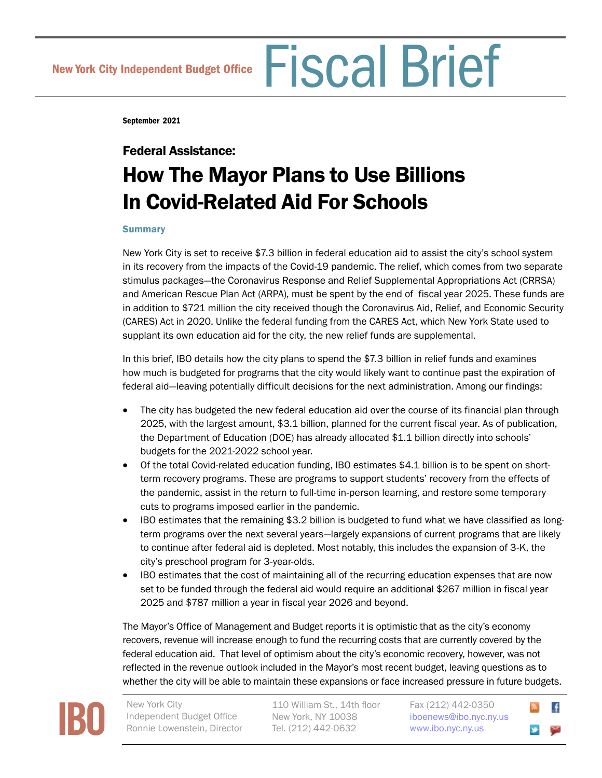September 2021

# Federal Assistance: How The Mayor Plans to Use Billions In Covid-Related Aid For Schools

### **Summary**

New York City is set to receive \$7.3 billion in federal education aid to assist the city's school system in its recovery from the impacts of the Covid-19 pandemic. The relief, which comes from two separate stimulus packages—the Coronavirus Response and Relief Supplemental Appropriations Act (CRRSA) and American Rescue Plan Act (ARPA), must be spent by the end of fiscal year 2025. These funds are in addition to \$721 million the city received though the Coronavirus Aid, Relief, and Economic Security (CARES) Act in 2020. Unlike the federal funding from the CARES Act, which New York State used to supplant its own education aid for the city, the new relief funds are supplemental.

In this brief, IBO details how the city plans to spend the \$7.3 billion in relief funds and examines how much is budgeted for programs that the city would likely want to continue past the expiration of federal aid—leaving potentially difficult decisions for the next administration. Among our findings:

- The city has budgeted the new federal education aid over the course of its financial plan through 2025, with the largest amount, \$3.1 billion, planned for the current fiscal year. As of publication, the Department of Education (DOE) has already allocated \$1.1 billion directly into schools' budgets for the 2021-2022 school year.
- Of the total Covid-related education funding, IBO estimates \$4.1 billion is to be spent on shortterm recovery programs. These are programs to support students' recovery from the effects of the pandemic, assist in the return to full-time in-person learning, and restore some temporary cuts to programs imposed earlier in the pandemic.
- IBO estimates that the remaining \$3.2 billion is budgeted to fund what we have classified as longterm programs over the next several years—largely expansions of current programs that are likely to continue after federal aid is depleted. Most notably, this includes the expansion of 3-K, the city's preschool program for 3-year-olds.
- IBO estimates that the cost of maintaining all of the recurring education expenses that are now set to be funded through the federal aid would require an additional \$267 million in fiscal year 2025 and \$787 million a year in fiscal year 2026 and beyond.

The Mayor's Office of Management and Budget reports it is optimistic that as the city's economy recovers, revenue will increase enough to fund the recurring costs that are currently covered by the federal education aid. That level of optimism about the city's economic recovery, however, was not reflected in the revenue outlook included in the Mayor's most recent budget, leaving questions as to whether the city will be able to maintain these expansions or face increased pressure in future budgets.



Independent Budget Office Ronnie Lowenstein, Director

110 William St., 14th floor New York, NY 10038 Tel. (212) 442-0632

Fax (212) 442-0350 [iboenews@ibo.nyc.ny.us](mailto:iboenews%40ibo.nyc.ny.us?subject=)  <www.ibo.nyc.ny.us>

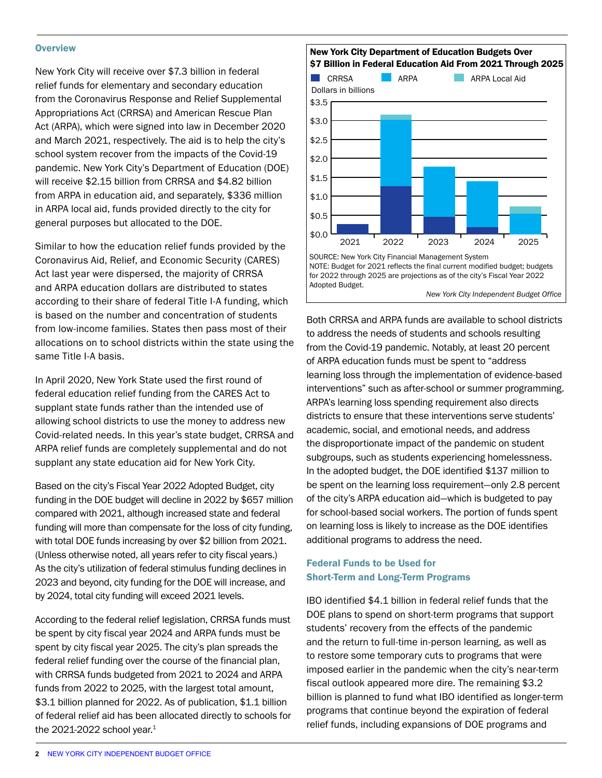#### **Overview**

New York City will receive over \$7.3 billion in federal relief funds for elementary and secondary education from the Coronavirus Response and Relief Supplemental Appropriations Act (CRRSA) and American Rescue Plan Act (ARPA), which were signed into law in December 2020 and March 2021, respectively. The aid is to help the city's school system recover from the impacts of the Covid-19 pandemic. New York City's Department of Education (DOE) will receive \$2.15 billion from CRRSA and \$4.82 billion from ARPA in education aid, and separately, \$336 million in ARPA local aid, funds provided directly to the city for general purposes but allocated to the DOE.

Similar to how the education relief funds provided by the Coronavirus Aid, Relief, and Economic Security (CARES) Act last year were dispersed, the majority of CRRSA and ARPA education dollars are distributed to states according to their share of federal Title I-A funding, which is based on the number and concentration of students from low-income families. States then pass most of their allocations on to school districts within the state using the same Title I-A basis.

In April 2020, New York State used the first round of federal education relief funding from the CARES Act to supplant state funds rather than the intended use of allowing school districts to use the money to address new Covid-related needs. In this year's state budget, CRRSA and ARPA relief funds are completely supplemental and do not supplant any state education aid for New York City.

Based on the city's Fiscal Year 2022 Adopted Budget, city funding in the DOE budget will decline in 2022 by \$657 million compared with 2021, although increased state and federal funding will more than compensate for the loss of city funding, with total DOE funds increasing by over \$2 billion from 2021. (Unless otherwise noted, all years refer to city fiscal years.) As the city's utilization of federal stimulus funding declines in 2023 and beyond, city funding for the DOE will increase, and by 2024, total city funding will exceed 2021 levels.

According to the federal relief legislation, CRRSA funds must be spent by city fiscal year 2024 and ARPA funds must be spent by city fiscal year 2025. The city's plan spreads the federal relief funding over the course of the financial plan, with CRRSA funds budgeted from 2021 to 2024 and ARPA funds from 2022 to 2025, with the largest total amount, \$3.1 billion planned for 2022. As of publication, \$1.1 billion of federal relief aid has been allocated directly to schools for the 2021-2022 school year. $1$ 





Both CRRSA and ARPA funds are available to school districts to address the needs of students and schools resulting from the Covid-19 pandemic. Notably, at least 20 percent of ARPA education funds must be spent to "address learning loss through the implementation of evidence-based interventions" such as after-school or summer programming. ARPA's learning loss spending requirement also directs districts to ensure that these interventions serve students' academic, social, and emotional needs, and address the disproportionate impact of the pandemic on student subgroups, such as students experiencing homelessness. In the adopted budget, the DOE identified \$137 million to be spent on the learning loss requirement—only 2.8 percent of the city's ARPA education aid—which is budgeted to pay for school-based social workers. The portion of funds spent on learning loss is likely to increase as the DOE identifies additional programs to address the need.

## Federal Funds to be Used for Short-Term and Long-Term Programs

IBO identified \$4.1 billion in federal relief funds that the DOE plans to spend on short-term programs that support students' recovery from the effects of the pandemic and the return to full-time in-person learning, as well as to restore some temporary cuts to programs that were imposed earlier in the pandemic when the city's near-term fiscal outlook appeared more dire. The remaining \$3.2 billion is planned to fund what IBO identified as longer-term programs that continue beyond the expiration of federal relief funds, including expansions of DOE programs and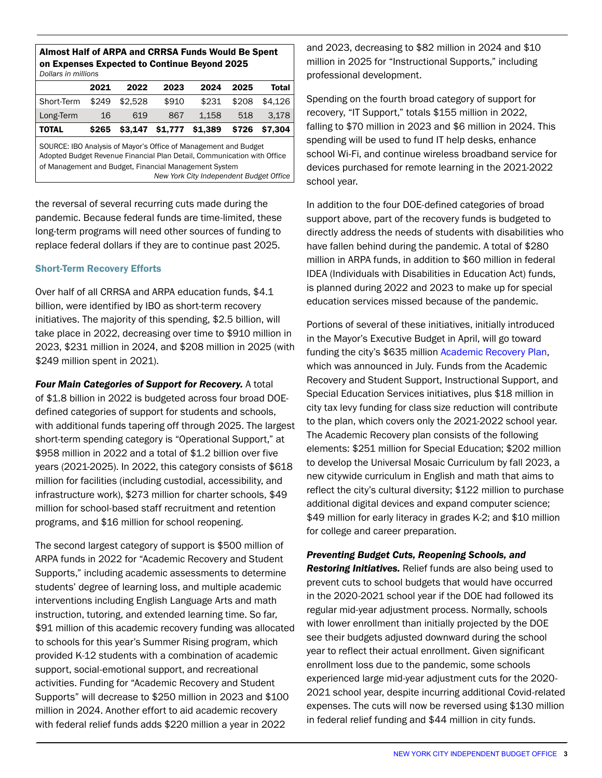| AMIVY HUM VI ANI A UMU VINNYA I UMUJ MVUNI PU VIVIN<br>on Expenses Expected to Continue Beyond 2025<br>Dollars in millions                                                                                                                     |       |         |         |         |       |         |  |  |
|------------------------------------------------------------------------------------------------------------------------------------------------------------------------------------------------------------------------------------------------|-------|---------|---------|---------|-------|---------|--|--|
|                                                                                                                                                                                                                                                | 2021  | 2022    | 2023    | 2024    | 2025  | Total   |  |  |
| Short-Term                                                                                                                                                                                                                                     | \$249 | \$2.528 | \$910   | \$231   | \$208 | \$4.126 |  |  |
| Long-Term                                                                                                                                                                                                                                      | 16    | 619     | 867     | 1.158   | 518   | 3.178   |  |  |
| <b>TOTAL</b>                                                                                                                                                                                                                                   | \$265 | \$3.147 | \$1,777 | \$1,389 | \$726 | \$7,304 |  |  |
| SOURCE: IBO Analysis of Mayor's Office of Management and Budget<br>Adopted Budget Revenue Financial Plan Detail, Communication with Office<br>of Management and Budget, Financial Management System<br>New York City Independent Budget Office |       |         |         |         |       |         |  |  |

Almost Half of ARPA and CRRSA Funds Would Be Spent

the reversal of several recurring cuts made during the pandemic. Because federal funds are time-limited, these long-term programs will need other sources of funding to replace federal dollars if they are to continue past 2025.

## Short-Term Recovery Efforts

Over half of all CRRSA and ARPA education funds, \$4.1 billion, were identified by IBO as short-term recovery initiatives. The majority of this spending, \$2.5 billion, will take place in 2022, decreasing over time to \$910 million in 2023, \$231 million in 2024, and \$208 million in 2025 (with \$249 million spent in 2021).

*Four Main Categories of Support for Recovery.* A total of \$1.8 billion in 2022 is budgeted across four broad DOEdefined categories of support for students and schools, with additional funds tapering off through 2025. The largest short-term spending category is "Operational Support," at \$958 million in 2022 and a total of \$1.2 billion over five years (2021-2025). In 2022, this category consists of \$618 million for facilities (including custodial, accessibility, and infrastructure work), \$273 million for charter schools, \$49 million for school-based staff recruitment and retention programs, and \$16 million for school reopening.

The second largest category of support is \$500 million of ARPA funds in 2022 for "Academic Recovery and Student Supports," including academic assessments to determine students' degree of learning loss, and multiple academic interventions including English Language Arts and math instruction, tutoring, and extended learning time. So far, \$91 million of this academic recovery funding was allocated to schools for this year's Summer Rising program, which provided K-12 students with a combination of academic support, social-emotional support, and recreational activities. Funding for "Academic Recovery and Student Supports" will decrease to \$250 million in 2023 and \$100 million in 2024. Another effort to aid academic recovery with federal relief funds adds \$220 million a year in 2022

and 2023, decreasing to \$82 million in 2024 and \$10 million in 2025 for "Instructional Supports," including professional development.

Spending on the fourth broad category of support for recovery, "IT Support," totals \$155 million in 2022, falling to \$70 million in 2023 and \$6 million in 2024. This spending will be used to fund IT help desks, enhance school Wi-Fi, and continue wireless broadband service for devices purchased for remote learning in the 2021-2022 school year.

In addition to the four DOE-defined categories of broad support above, part of the recovery funds is budgeted to directly address the needs of students with disabilities who have fallen behind during the pandemic. A total of \$280 million in ARPA funds, in addition to \$60 million in federal IDEA (Individuals with Disabilities in Education Act) funds, is planned during 2022 and 2023 to make up for special education services missed because of the pandemic.

Portions of several of these initiatives, initially introduced in the Mayor's Executive Budget in April, will go toward funding the city's \$635 million [Academic Recovery Plan](https://www.schools.nyc.gov/about-us/news/announcements/contentdetails/2021/07/09/mayor-de-blasio-and-chancellor-porter-announce-academic-recovery-plan-for-pivotal-school-year-ahead), which was announced in July. Funds from the Academic Recovery and Student Support, Instructional Support, and Special Education Services initiatives, plus \$18 million in city tax levy funding for class size reduction will contribute to the plan, which covers only the 2021-2022 school year. The Academic Recovery plan consists of the following elements: \$251 million for Special Education; \$202 million to develop the Universal Mosaic Curriculum by fall 2023, a new citywide curriculum in English and math that aims to reflect the city's cultural diversity; \$122 million to purchase additional digital devices and expand computer science; \$49 million for early literacy in grades K-2; and \$10 million for college and career preparation.

*Preventing Budget Cuts, Reopening Schools, and Restoring Initiatives.* Relief funds are also being used to prevent cuts to school budgets that would have occurred in the 2020-2021 school year if the DOE had followed its regular mid-year adjustment process. Normally, schools with lower enrollment than initially projected by the DOE see their budgets adjusted downward during the school year to reflect their actual enrollment. Given significant enrollment loss due to the pandemic, some schools experienced large mid-year adjustment cuts for the 2020- 2021 school year, despite incurring additional Covid-related expenses. The cuts will now be reversed using \$130 million in federal relief funding and \$44 million in city funds.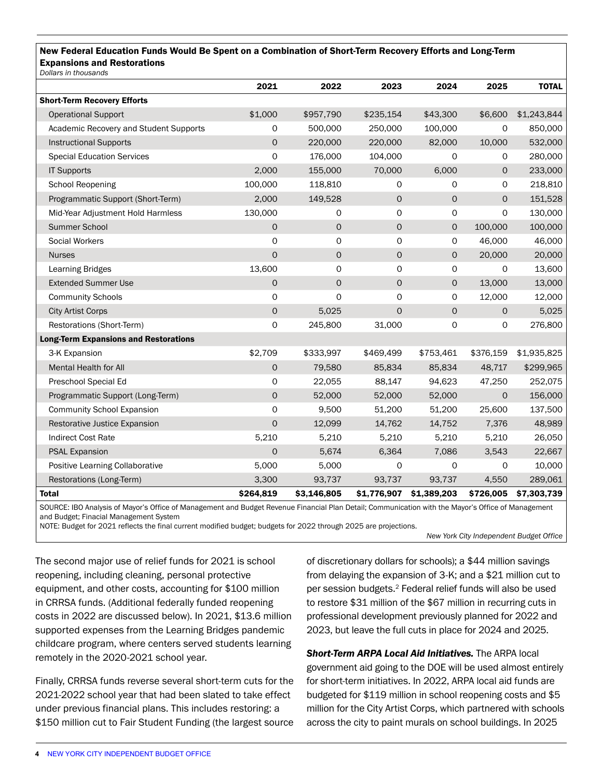## New Federal Education Funds Would Be Spent on a Combination of Short-Term Recovery Efforts and Long-Term Expansions and Restorations

|  | Dollars in thousands |
|--|----------------------|
|  |                      |

| Dollars III tribusarius                      |                     |             |                     |              |              |              |
|----------------------------------------------|---------------------|-------------|---------------------|--------------|--------------|--------------|
|                                              | 2021                | 2022        | 2023                | 2024         | 2025         | <b>TOTAL</b> |
| <b>Short-Term Recovery Efforts</b>           |                     |             |                     |              |              |              |
| <b>Operational Support</b>                   | \$1,000             | \$957,790   | \$235,154           | \$43,300     | \$6,600      | \$1,243,844  |
| Academic Recovery and Student Supports       | O                   | 500,000     | 250,000             | 100,000      | 0            | 850,000      |
| <b>Instructional Supports</b>                | $\mathbf 0$         | 220,000     | 220,000             | 82,000       | 10,000       | 532,000      |
| <b>Special Education Services</b>            | $\mathbf 0$         | 176,000     | 104,000             | 0            | 0            | 280,000      |
| <b>IT Supports</b>                           | 2,000               | 155,000     | 70,000              | 6,000        | $\mathsf{O}$ | 233,000      |
| <b>School Reopening</b>                      | 100,000             | 118,810     | 0                   | 0            | 0            | 218,810      |
| Programmatic Support (Short-Term)            | 2,000               | 149,528     | 0                   | $\mathsf{O}$ | $\mathsf{O}$ | 151,528      |
| Mid-Year Adjustment Hold Harmless            | 130,000             | 0           | 0                   | 0            | 0            | 130,000      |
| Summer School                                | $\circ$             | $\mathbf 0$ | 0                   | 0            | 100,000      | 100,000      |
| Social Workers                               | $\circ$             | 0           | 0                   | 0            | 46,000       | 46,000       |
| <b>Nurses</b>                                | $\Omega$            | $\mathbf 0$ | $\mathsf{O}\xspace$ | 0            | 20,000       | 20,000       |
| <b>Learning Bridges</b>                      | 13,600              | $\circ$     | 0                   | 0            | 0            | 13,600       |
| <b>Extended Summer Use</b>                   | $\mathbf 0$         | $\mathbf 0$ | $\mathbf 0$         | 0            | 13,000       | 13,000       |
| <b>Community Schools</b>                     | $\Omega$            | $\Omega$    | 0                   | 0            | 12,000       | 12,000       |
| <b>City Artist Corps</b>                     | $\mathbf 0$         | 5,025       | $\mathbf 0$         | $\mathsf{O}$ | $\mathsf{O}$ | 5,025        |
| Restorations (Short-Term)                    | $\mathbf 0$         | 245,800     | 31,000              | 0            | 0            | 276,800      |
| <b>Long-Term Expansions and Restorations</b> |                     |             |                     |              |              |              |
| 3-K Expansion                                | \$2,709             | \$333,997   | \$469,499           | \$753,461    | \$376,159    | \$1,935,825  |
| <b>Mental Health for All</b>                 | $\mathbf 0$         | 79,580      | 85,834              | 85,834       | 48,717       | \$299,965    |
| Preschool Special Ed                         | $\circ$             | 22,055      | 88,147              | 94,623       | 47,250       | 252,075      |
| Programmatic Support (Long-Term)             | $\mathsf{O}\xspace$ | 52,000      | 52,000              | 52,000       | $\mathsf{O}$ | 156,000      |
| <b>Community School Expansion</b>            | $\circ$             | 9,500       | 51,200              | 51,200       | 25,600       | 137,500      |
| Restorative Justice Expansion                | $\circ$             | 12,099      | 14,762              | 14,752       | 7,376        | 48,989       |
| <b>Indirect Cost Rate</b>                    | 5,210               | 5,210       | 5,210               | 5,210        | 5,210        | 26,050       |
| <b>PSAL Expansion</b>                        | $\mathbf 0$         | 5,674       | 6,364               | 7,086        | 3,543        | 22,667       |
| Positive Learning Collaborative              | 5,000               | 5,000       | 0                   | 0            | 0            | 10,000       |
| Restorations (Long-Term)                     | 3,300               | 93,737      | 93,737              | 93,737       | 4,550        | 289,061      |
| <b>Total</b>                                 | \$264,819           | \$3,146,805 | \$1,776,907         | \$1,389,203  | \$726,005    | \$7,303,739  |

SOURCE: IBO Analysis of Mayor's Office of Management and Budget Revenue Financial Plan Detail; Communication with the Mayor's Office of Management and Budget; Finacial Management System

NOTE: Budget for 2021 reflects the final current modified budget; budgets for 2022 through 2025 are projections.

*New York City Independent Budget Office*

The second major use of relief funds for 2021 is school reopening, including cleaning, personal protective equipment, and other costs, accounting for \$100 million in CRRSA funds. (Additional federally funded reopening costs in 2022 are discussed below). In 2021, \$13.6 million supported expenses from the Learning Bridges pandemic childcare program, where centers served students learning remotely in the 2020-2021 school year.

Finally, CRRSA funds reverse several short-term cuts for the 2021-2022 school year that had been slated to take effect under previous financial plans. This includes restoring: a \$150 million cut to Fair Student Funding (the largest source

of discretionary dollars for schools); a \$44 million savings from delaying the expansion of 3-K; and a \$21 million cut to per session budgets.2 Federal relief funds will also be used to restore \$31 million of the \$67 million in recurring cuts in professional development previously planned for 2022 and 2023, but leave the full cuts in place for 2024 and 2025.

*Short-Term ARPA Local Aid Initiatives.* The ARPA local government aid going to the DOE will be used almost entirely for short-term initiatives. In 2022, ARPA local aid funds are budgeted for \$119 million in school reopening costs and \$5 million for the City Artist Corps, which partnered with schools across the city to paint murals on school buildings. In 2025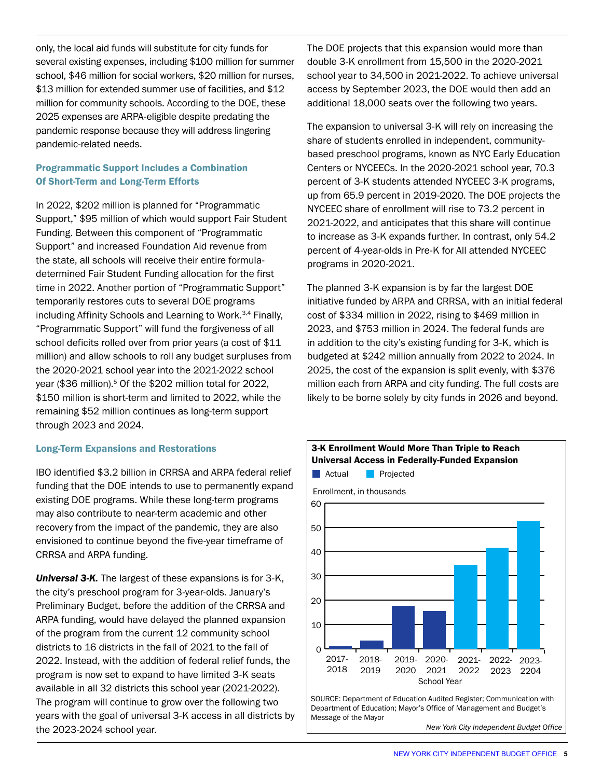only, the local aid funds will substitute for city funds for several existing expenses, including \$100 million for summer school, \$46 million for social workers, \$20 million for nurses, \$13 million for extended summer use of facilities, and \$12 million for community schools. According to the DOE, these 2025 expenses are ARPA-eligible despite predating the pandemic response because they will address lingering pandemic-related needs.

# Programmatic Support Includes a Combination Of Short-Term and Long-Term Efforts

In 2022, \$202 million is planned for "Programmatic Support," \$95 million of which would support Fair Student Funding. Between this component of "Programmatic Support" and increased Foundation Aid revenue from the state, all schools will receive their entire formuladetermined Fair Student Funding allocation for the first time in 2022. Another portion of "Programmatic Support" temporarily restores cuts to several DOE programs including Affinity Schools and Learning to Work.3,4 Finally, "Programmatic Support" will fund the forgiveness of all school deficits rolled over from prior years (a cost of \$11 million) and allow schools to roll any budget surpluses from the 2020-2021 school year into the 2021-2022 school year (\$36 million).<sup>5</sup> Of the \$202 million total for 2022, \$150 million is short-term and limited to 2022, while the remaining \$52 million continues as long-term support through 2023 and 2024.

## Long-Term Expansions and Restorations

IBO identified \$3.2 billion in CRRSA and ARPA federal relief funding that the DOE intends to use to permanently expand existing DOE programs. While these long-term programs may also contribute to near-term academic and other recovery from the impact of the pandemic, they are also envisioned to continue beyond the five-year timeframe of CRRSA and ARPA funding.

*Universal 3-K.* The largest of these expansions is for 3-K, the city's preschool program for 3-year-olds. January's Preliminary Budget, before the addition of the CRRSA and ARPA funding, would have delayed the planned expansion of the program from the current 12 community school districts to 16 districts in the fall of 2021 to the fall of 2022. Instead, with the addition of federal relief funds, the program is now set to expand to have limited 3-K seats available in all 32 districts this school year (2021-2022). The program will continue to grow over the following two years with the goal of universal 3-K access in all districts by the 2023-2024 school year.

The DOE projects that this expansion would more than double 3-K enrollment from 15,500 in the 2020-2021 school year to 34,500 in 2021-2022. To achieve universal access by September 2023, the DOE would then add an additional 18,000 seats over the following two years.

The expansion to universal 3-K will rely on increasing the share of students enrolled in independent, communitybased preschool programs, known as NYC Early Education Centers or NYCEECs. In the 2020-2021 school year, 70.3 percent of 3-K students attended NYCEEC 3-K programs, up from 65.9 percent in 2019-2020. The DOE projects the NYCEEC share of enrollment will rise to 73.2 percent in 2021-2022, and anticipates that this share will continue to increase as 3-K expands further. In contrast, only 54.2 percent of 4-year-olds in Pre-K for All attended NYCEEC programs in 2020-2021.

The planned 3-K expansion is by far the largest DOE initiative funded by ARPA and CRRSA, with an initial federal cost of \$334 million in 2022, rising to \$469 million in 2023, and \$753 million in 2024. The federal funds are in addition to the city's existing funding for 3-K, which is budgeted at \$242 million annually from 2022 to 2024. In 2025, the cost of the expansion is split evenly, with \$376 million each from ARPA and city funding. The full costs are likely to be borne solely by city funds in 2026 and beyond.



*New York City Independent Budget Office*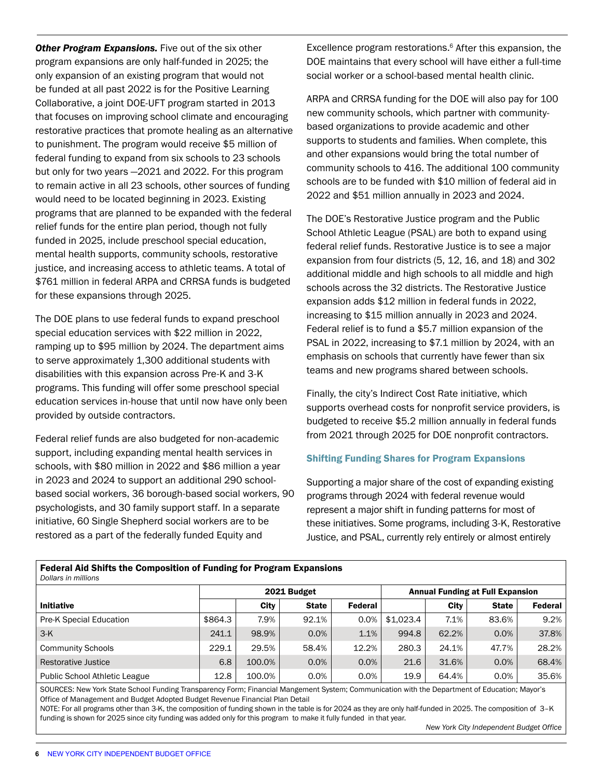**Other Program Expansions.** Five out of the six other program expansions are only half-funded in 2025; the only expansion of an existing program that would not be funded at all past 2022 is for the Positive Learning Collaborative, a joint DOE-UFT program started in 2013 that focuses on improving school climate and encouraging restorative practices that promote healing as an alternative to punishment. The program would receive \$5 million of federal funding to expand from six schools to 23 schools but only for two years —2021 and 2022. For this program to remain active in all 23 schools, other sources of funding would need to be located beginning in 2023. Existing programs that are planned to be expanded with the federal relief funds for the entire plan period, though not fully funded in 2025, include preschool special education, mental health supports, community schools, restorative justice, and increasing access to athletic teams. A total of \$761 million in federal ARPA and CRRSA funds is budgeted for these expansions through 2025.

The DOE plans to use federal funds to expand preschool special education services with \$22 million in 2022, ramping up to \$95 million by 2024. The department aims to serve approximately 1,300 additional students with disabilities with this expansion across Pre-K and 3-K programs. This funding will offer some preschool special education services in-house that until now have only been provided by outside contractors.

Federal relief funds are also budgeted for non-academic support, including expanding mental health services in schools, with \$80 million in 2022 and \$86 million a year in 2023 and 2024 to support an additional 290 schoolbased social workers, 36 borough-based social workers, 90 psychologists, and 30 family support staff. In a separate initiative, 60 Single Shepherd social workers are to be restored as a part of the federally funded Equity and

Federal Aid Shifts the Composition of Funding for Program Expansions

Excellence program restorations.<sup>6</sup> After this expansion, the DOE maintains that every school will have either a full-time social worker or a school-based mental health clinic.

ARPA and CRRSA funding for the DOE will also pay for 100 new community schools, which partner with communitybased organizations to provide academic and other supports to students and families. When complete, this and other expansions would bring the total number of community schools to 416. The additional 100 community schools are to be funded with \$10 million of federal aid in 2022 and \$51 million annually in 2023 and 2024.

The DOE's Restorative Justice program and the Public School Athletic League (PSAL) are both to expand using federal relief funds. Restorative Justice is to see a major expansion from four districts (5, 12, 16, and 18) and 302 additional middle and high schools to all middle and high schools across the 32 districts. The Restorative Justice expansion adds \$12 million in federal funds in 2022, increasing to \$15 million annually in 2023 and 2024. Federal relief is to fund a \$5.7 million expansion of the PSAL in 2022, increasing to \$7.1 million by 2024, with an emphasis on schools that currently have fewer than six teams and new programs shared between schools.

Finally, the city's Indirect Cost Rate initiative, which supports overhead costs for nonprofit service providers, is budgeted to receive \$5.2 million annually in federal funds from 2021 through 2025 for DOE nonprofit contractors.

## Shifting Funding Shares for Program Expansions

Supporting a major share of the cost of expanding existing programs through 2024 with federal revenue would represent a major shift in funding patterns for most of these initiatives. Some programs, including 3-K, Restorative Justice, and PSAL, currently rely entirely or almost entirely

| I GUGTUI ANI ONNEG ENG OOMIDOSIEDII OFT UNUMIS TOF I TOSTUMI EADUNGUIST<br>Dollars in millions |        |              |                |                                         |       |              |                         |  |
|------------------------------------------------------------------------------------------------|--------|--------------|----------------|-----------------------------------------|-------|--------------|-------------------------|--|
| 2021 Budget                                                                                    |        |              |                | <b>Annual Funding at Full Expansion</b> |       |              |                         |  |
|                                                                                                | City   | <b>State</b> | <b>Federal</b> |                                         | City  | <b>State</b> | Federal                 |  |
| \$864.3                                                                                        | 7.9%   | 92.1%        | 0.0%           | \$1,023.4                               | 7.1%  | 83.6%        | 9.2%                    |  |
| 241.1                                                                                          | 98.9%  | 0.0%         | 1.1%           | 994.8                                   |       | 0.0%         | 37.8%                   |  |
| 229.1                                                                                          | 29.5%  | 58.4%        | 12.2%          | 280.3                                   |       | 47.7%        | 28.2%                   |  |
| 6.8                                                                                            | 100.0% | 0.0%         | 0.0%           | 21.6                                    | 31.6% | 0.0%         | 68.4%                   |  |
| 12.8                                                                                           | 100.0% | 0.0%         | 0.0%           | 19.9                                    |       | 0.0%         | 35.6%                   |  |
|                                                                                                |        |              |                |                                         |       |              | 62.2%<br>24.1%<br>64.4% |  |

SOURCES: New York State School Funding Transparency Form; Financial Mangement System; Communication with the Department of Education; Mayor's Office of Management and Budget Adopted Budget Revenue Financial Plan Detail

NOTE: For all programs other than 3-K, the composition of funding shown in the table is for 2024 as they are only half-funded in 2025. The composition of 3–K funding is shown for 2025 since city funding was added only for this program to make it fully funded in that year.

*New York City Independent Budget Office*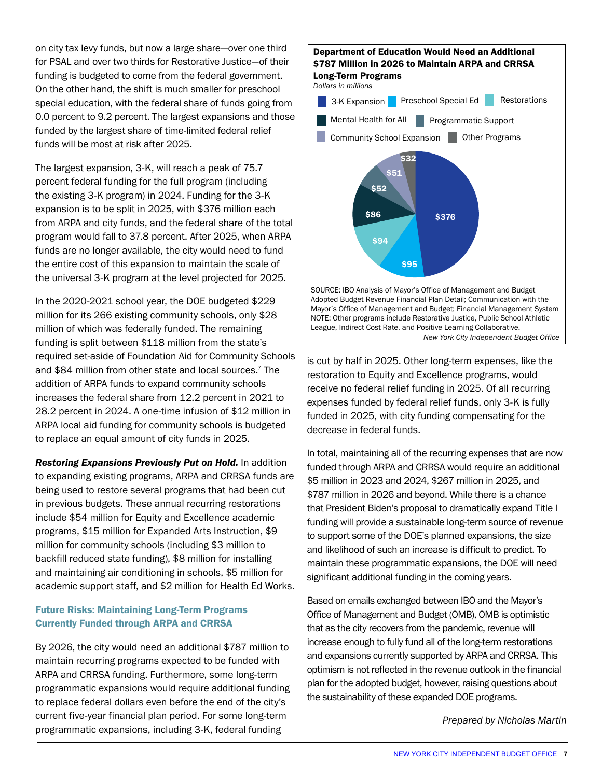on city tax levy funds, but now a large share—over one third for PSAL and over two thirds for Restorative Justice—of their funding is budgeted to come from the federal government. On the other hand, the shift is much smaller for preschool special education, with the federal share of funds going from 0.0 percent to 9.2 percent. The largest expansions and those funded by the largest share of time-limited federal relief funds will be most at risk after 2025.

The largest expansion, 3-K, will reach a peak of 75.7 percent federal funding for the full program (including the existing 3-K program) in 2024. Funding for the 3-K expansion is to be split in 2025, with \$376 million each from ARPA and city funds, and the federal share of the total program would fall to 37.8 percent. After 2025, when ARPA funds are no longer available, the city would need to fund the entire cost of this expansion to maintain the scale of the universal 3-K program at the level projected for 2025.

In the 2020-2021 school year, the DOE budgeted \$229 million for its 266 existing community schools, only \$28 million of which was federally funded. The remaining funding is split between \$118 million from the state's required set-aside of Foundation Aid for Community Schools and \$84 million from other state and local sources.7 The addition of ARPA funds to expand community schools increases the federal share from 12.2 percent in 2021 to 28.2 percent in 2024. A one-time infusion of \$12 million in ARPA local aid funding for community schools is budgeted to replace an equal amount of city funds in 2025.

*Restoring Expansions Previously Put on Hold.* **In addition** to expanding existing programs, ARPA and CRRSA funds are being used to restore several programs that had been cut in previous budgets. These annual recurring restorations include \$54 million for Equity and Excellence academic programs, \$15 million for Expanded Arts Instruction, \$9 million for community schools (including \$3 million to backfill reduced state funding), \$8 million for installing and maintaining air conditioning in schools, \$5 million for academic support staff, and \$2 million for Health Ed Works.

# Future Risks: Maintaining Long-Term Programs Currently Funded through ARPA and CRRSA

By 2026, the city would need an additional \$787 million to maintain recurring programs expected to be funded with ARPA and CRRSA funding. Furthermore, some long-term programmatic expansions would require additional funding to replace federal dollars even before the end of the city's current five-year financial plan period. For some long-term programmatic expansions, including 3-K, federal funding



is cut by half in 2025. Other long-term expenses, like the restoration to Equity and Excellence programs, would receive no federal relief funding in 2025. Of all recurring expenses funded by federal relief funds, only 3-K is fully funded in 2025, with city funding compensating for the decrease in federal funds.

In total, maintaining all of the recurring expenses that are now funded through ARPA and CRRSA would require an additional \$5 million in 2023 and 2024, \$267 million in 2025, and \$787 million in 2026 and beyond. While there is a chance that President Biden's proposal to dramatically expand Title I funding will provide a sustainable long-term source of revenue to support some of the DOE's planned expansions, the size and likelihood of such an increase is difficult to predict. To maintain these programmatic expansions, the DOE will need significant additional funding in the coming years.

Based on emails exchanged between IBO and the Mayor's Office of Management and Budget (OMB), OMB is optimistic that as the city recovers from the pandemic, revenue will increase enough to fully fund all of the long-term restorations and expansions currently supported by ARPA and CRRSA. This optimism is not reflected in the revenue outlook in the financial plan for the adopted budget, however, raising questions about the sustainability of these expanded DOE programs.

*Prepared by Nicholas Martin*